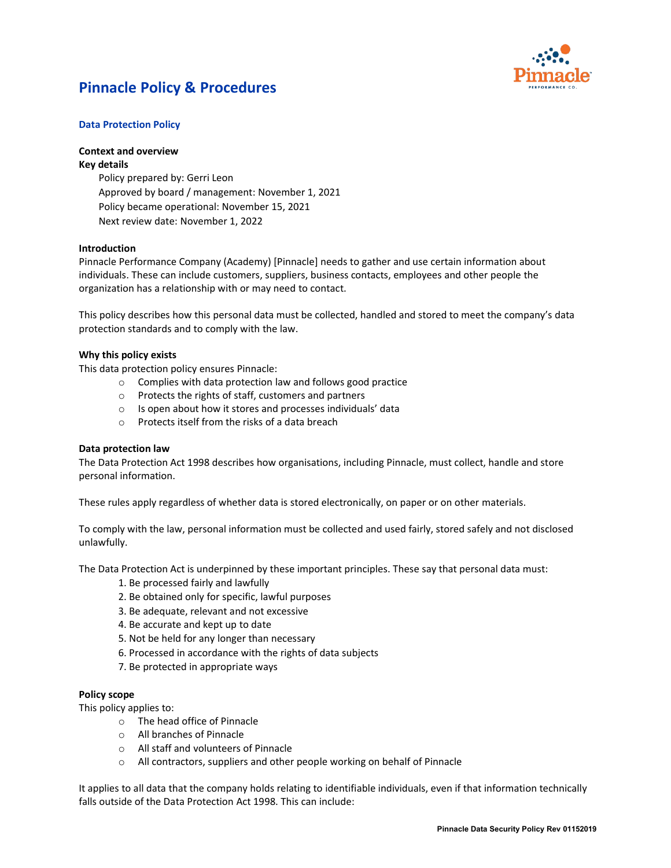

## **Data Protection Policy**

## **Context and overview**

### **Key details**

Policy prepared by: Gerri Leon Approved by board / management: November 1, 2021 Policy became operational: November 15, 2021 Next review date: November 1, 2022

### **Introduction**

Pinnacle Performance Company (Academy) [Pinnacle] needs to gather and use certain information about individuals. These can include customers, suppliers, business contacts, employees and other people the organization has a relationship with or may need to contact.

This policy describes how this personal data must be collected, handled and stored to meet the company's data protection standards and to comply with the law.

#### **Why this policy exists**

This data protection policy ensures Pinnacle:

- o Complies with data protection law and follows good practice
- o Protects the rights of staff, customers and partners
- o Is open about how it stores and processes individuals' data
- o Protects itself from the risks of a data breach

#### **Data protection law**

The Data Protection Act 1998 describes how organisations, including Pinnacle, must collect, handle and store personal information.

These rules apply regardless of whether data is stored electronically, on paper or on other materials.

To comply with the law, personal information must be collected and used fairly, stored safely and not disclosed unlawfully.

The Data Protection Act is underpinned by these important principles. These say that personal data must:

- 1. Be processed fairly and lawfully
- 2. Be obtained only for specific, lawful purposes
- 3. Be adequate, relevant and not excessive
- 4. Be accurate and kept up to date
- 5. Not be held for any longer than necessary
- 6. Processed in accordance with the rights of data subjects
- 7. Be protected in appropriate ways

### **Policy scope**

This policy applies to:

- o The head office of Pinnacle
- o All branches of Pinnacle
- o All staff and volunteers of Pinnacle
- o All contractors, suppliers and other people working on behalf of Pinnacle

It applies to all data that the company holds relating to identifiable individuals, even if that information technically falls outside of the Data Protection Act 1998. This can include: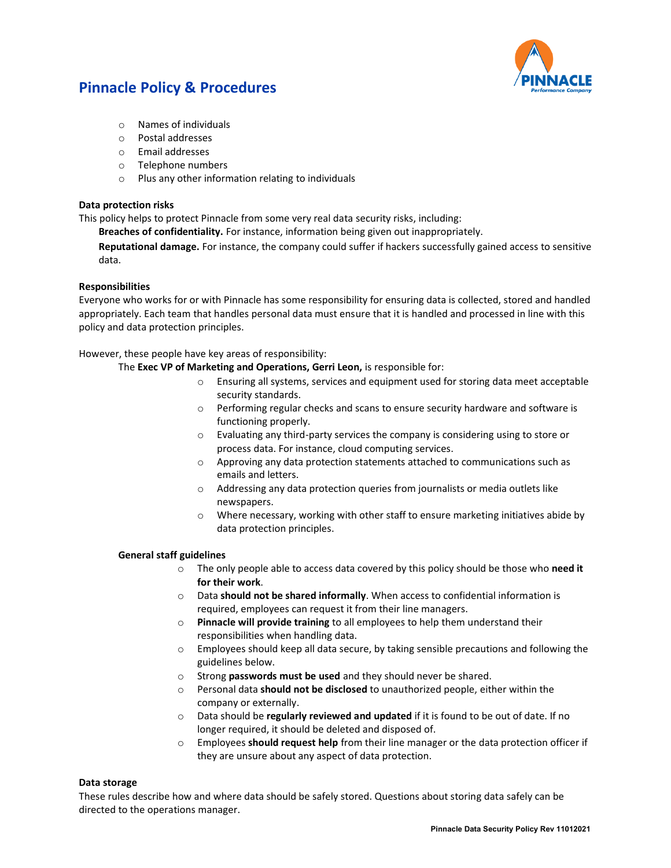

- o Names of individuals
- o Postal addresses
- o Email addresses
- o Telephone numbers
- o Plus any other information relating to individuals

### **Data protection risks**

This policy helps to protect Pinnacle from some very real data security risks, including:

**Breaches of confidentiality.** For instance, information being given out inappropriately.

**Reputational damage.** For instance, the company could suffer if hackers successfully gained access to sensitive data.

### **Responsibilities**

Everyone who works for or with Pinnacle has some responsibility for ensuring data is collected, stored and handled appropriately. Each team that handles personal data must ensure that it is handled and processed in line with this policy and data protection principles.

However, these people have key areas of responsibility:

### The **Exec VP of Marketing and Operations, Gerri Leon,** is responsible for:

- $\circ$  Ensuring all systems, services and equipment used for storing data meet acceptable security standards.
- o Performing regular checks and scans to ensure security hardware and software is functioning properly.
- o Evaluating any third-party services the company is considering using to store or process data. For instance, cloud computing services.
- o Approving any data protection statements attached to communications such as emails and letters.
- o Addressing any data protection queries from journalists or media outlets like newspapers.
- $\circ$  Where necessary, working with other staff to ensure marketing initiatives abide by data protection principles.

## **General staff guidelines**

- o The only people able to access data covered by this policy should be those who **need it for their work**.
- o Data **should not be shared informally**. When access to confidential information is required, employees can request it from their line managers.
- o **Pinnacle will provide training** to all employees to help them understand their responsibilities when handling data.
- o Employees should keep all data secure, by taking sensible precautions and following the guidelines below.
- Strong passwords must be used and they should never be shared.
- o Personal data **should not be disclosed** to unauthorized people, either within the company or externally.
- o Data should be **regularly reviewed and updated** if it is found to be out of date. If no longer required, it should be deleted and disposed of.
- o Employees **should request help** from their line manager or the data protection officer if they are unsure about any aspect of data protection.

#### **Data storage**

These rules describe how and where data should be safely stored. Questions about storing data safely can be directed to the operations manager.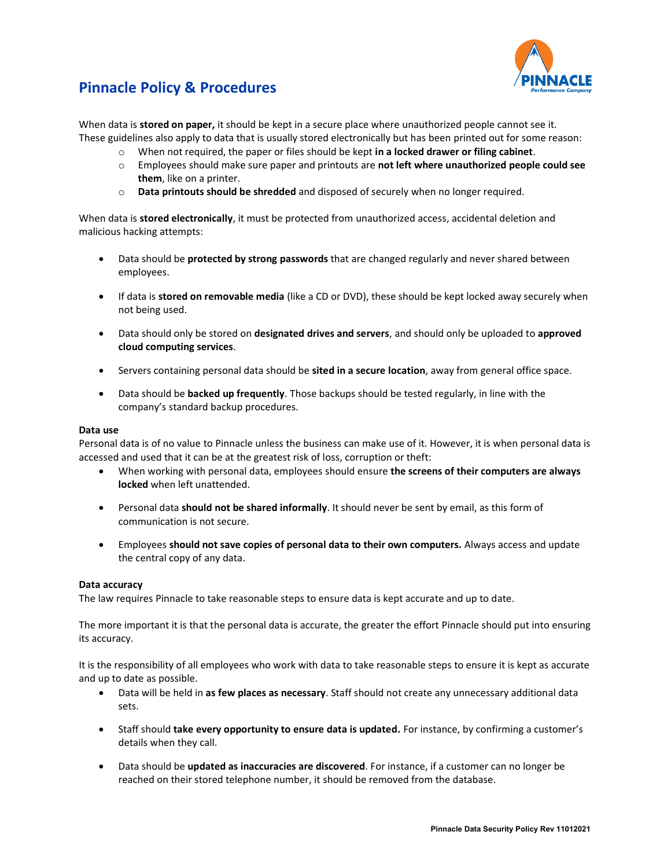

When data is **stored on paper,** it should be kept in a secure place where unauthorized people cannot see it. These guidelines also apply to data that is usually stored electronically but has been printed out for some reason:

- o When not required, the paper or files should be kept **in a locked drawer or filing cabinet**.
- o Employees should make sure paper and printouts are **not left where unauthorized people could see them**, like on a printer.
- o **Data printouts should be shredded** and disposed of securely when no longer required.

When data is **stored electronically**, it must be protected from unauthorized access, accidental deletion and malicious hacking attempts:

- Data should be **protected by strong passwords** that are changed regularly and never shared between employees.
- If data is **stored on removable media** (like a CD or DVD), these should be kept locked away securely when not being used.
- Data should only be stored on **designated drives and servers**, and should only be uploaded to **approved cloud computing services**.
- Servers containing personal data should be **sited in a secure location**, away from general office space.
- Data should be **backed up frequently**. Those backups should be tested regularly, in line with the company's standard backup procedures.

#### **Data use**

Personal data is of no value to Pinnacle unless the business can make use of it. However, it is when personal data is accessed and used that it can be at the greatest risk of loss, corruption or theft:

- When working with personal data, employees should ensure **the screens of their computers are always locked** when left unattended.
- Personal data **should not be shared informally**. It should never be sent by email, as this form of communication is not secure.
- Employees **should not save copies of personal data to their own computers.** Always access and update the central copy of any data.

#### **Data accuracy**

The law requires Pinnacle to take reasonable steps to ensure data is kept accurate and up to date.

The more important it is that the personal data is accurate, the greater the effort Pinnacle should put into ensuring its accuracy.

It is the responsibility of all employees who work with data to take reasonable steps to ensure it is kept as accurate and up to date as possible.

- Data will be held in **as few places as necessary**. Staff should not create any unnecessary additional data sets.
- Staff should **take every opportunity to ensure data is updated.** For instance, by confirming a customer's details when they call.
- Data should be **updated as inaccuracies are discovered**. For instance, if a customer can no longer be reached on their stored telephone number, it should be removed from the database.